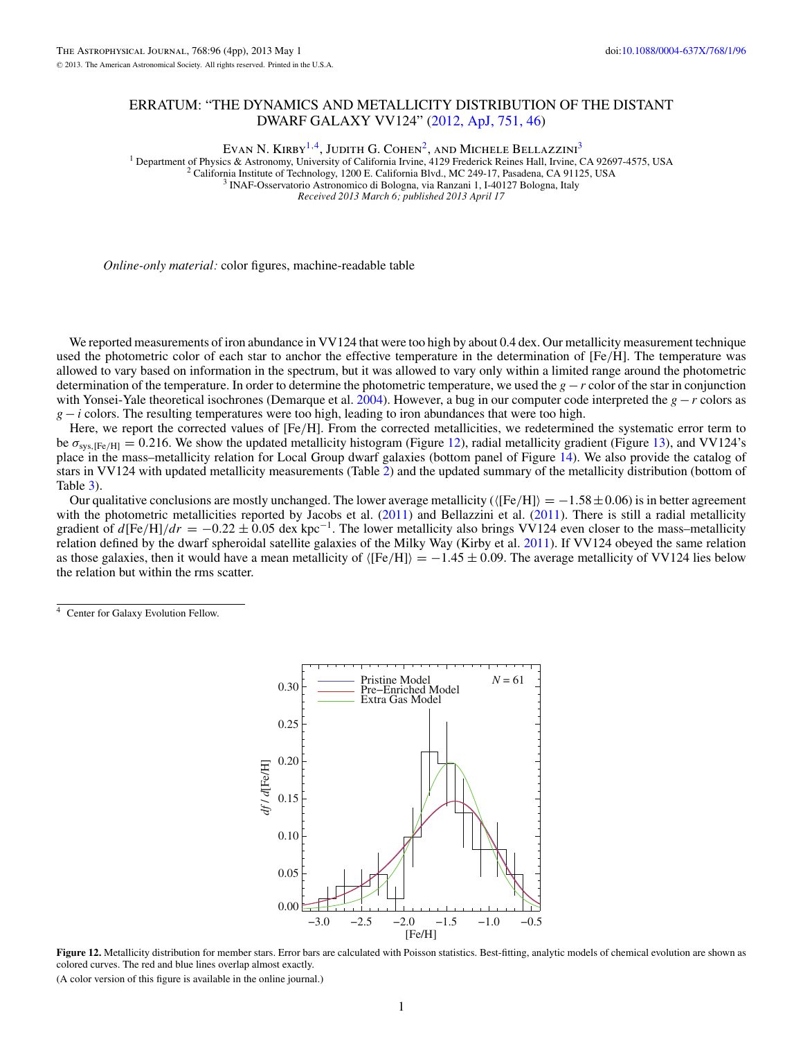## ERRATUM: "THE DYNAMICS AND METALLICITY DISTRIBUTION OF THE DISTANT DWARF GALAXY VV124" [\(2012, ApJ, 751, 46\)](http://dx.doi.org/10.1088/0004-637X/751/1/46)

Evan N. Kirby<sup>1,4</sup>, Judith G. Cohen<sup>2</sup>, and Michele Bellazzini<sup>3</sup>

<sup>1</sup> Department of Physics & Astronomy, University of California Irvine, 4129 Frederick Reines Hall, Irvine, CA 92697-4575, USA <sup>2</sup> California Institute of Technology, 1200 E. California Blvd., MC 249-17, Pasadena, CA 9112

*Received 2013 March 6; published 2013 April 17*

*Online-only material:* color figures, machine-readable table

We reported measurements of iron abundance in VV124 that were too high by about 0.4 dex. Our metallicity measurement technique used the photometric color of each star to anchor the effective temperature in the determination of [Fe*/*H]. The temperature was allowed to vary based on information in the spectrum, but it was allowed to vary only within a limited range around the photometric determination of the temperature. In order to determine the photometric temperature, we used the *g* − *r* color of the star in conjunction with Yonsei-Yale theoretical isochrones (Demarque et al. [2004\)](#page-3-0). However, a bug in our computer code interpreted the *g* − *r* colors as  $g - i$  colors. The resulting temperatures were too high, leading to iron abundances that were too high.

Here, we report the corrected values of [Fe*/*H]. From the corrected metallicities, we redetermined the systematic error term to be  $\sigma_{\text{sys,IFe/H}} = 0.216$ . We show the updated metallicity histogram (Figure 12), radial metallicity gradient (Figure [13\)](#page-1-0), and VV124's place in the mass–metallicity relation for Local Group dwarf galaxies (bottom panel of Figure [14\)](#page-1-0). We also provide the catalog of stars in VV124 with updated metallicity measurements (Table [2\)](#page-2-0) and the updated summary of the metallicity distribution (bottom of Table [3\)](#page-2-0).

Our qualitative conclusions are mostly unchanged. The lower average metallicity ([Fe*/*H]=−1*.*58±0*.*06) is in better agreement with the photometric metallicities reported by Jacobs et al.  $(2011)$  and Bellazzini et al.  $(2011)$ . There is still a radial metallicity gradient of  $d[Fe/H]/dr = -0.22 \pm 0.05$  dex kpc<sup>-1</sup>. The lower metallicity also brings VV124 even closer to the mass–metallicity relation defined by the dwarf spheroidal satellite galaxies of the Milky Way (Kirby et al. [2011\)](#page-3-0). If VV124 obeyed the same relation as those galaxies, then it would have a mean metallicity of  $\langle [Fe/H] \rangle = -1.45 \pm 0.09$ . The average metallicity of VV124 lies below the relation but within the rms scatter.

<sup>4</sup> Center for Galaxy Evolution Fellow.



**Figure 12.** Metallicity distribution for member stars. Error bars are calculated with Poisson statistics. Best-fitting, analytic models of chemical evolution are shown as colored curves. The red and blue lines overlap almost exactly.

(A color version of this figure is available in the online journal.)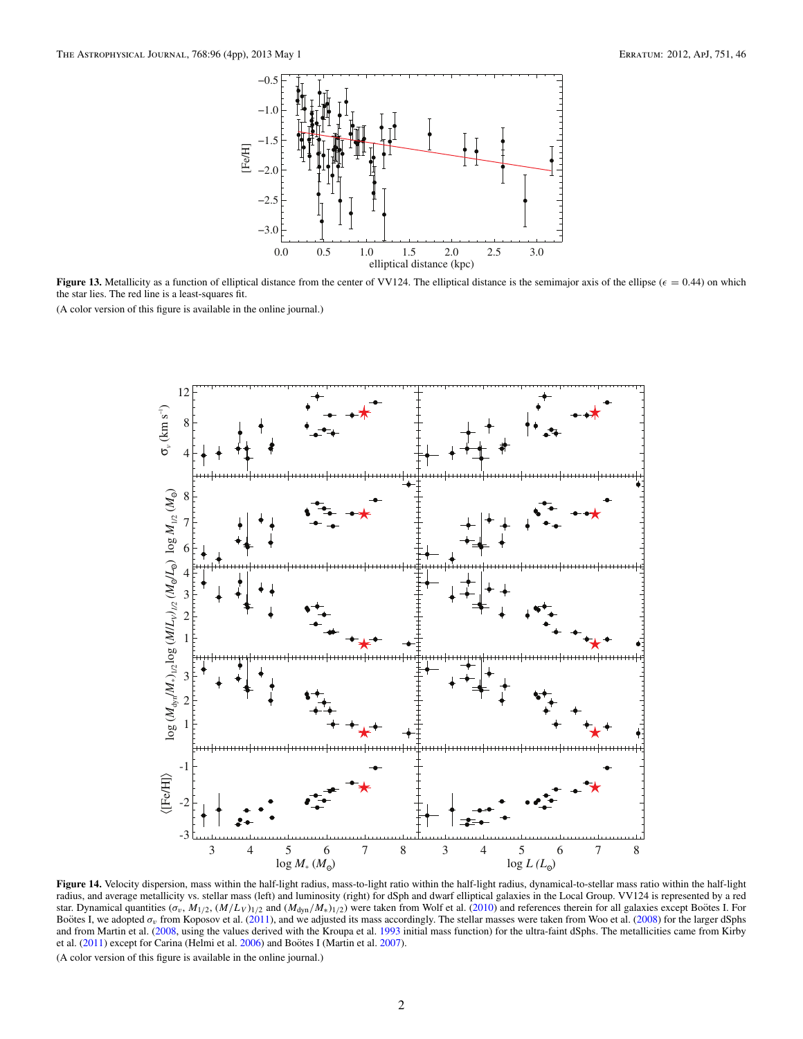<span id="page-1-0"></span>

**Figure 13.** Metallicity as a function of elliptical distance from the center of VV124. The elliptical distance is the semimajor axis of the ellipse ( $\epsilon = 0.44$ ) on which the star lies. The red line is a least-squares fit.

(A color version of this figure is available in the online journal.)



**Figure 14.** Velocity dispersion, mass within the half-light radius, mass-to-light ratio within the half-light radius, dynamical-to-stellar mass ratio within the half-light radius, and average metallicity vs. stellar mass (left) and luminosity (right) for dSph and dwarf elliptical galaxies in the Local Group. VV124 is represented by a red star. Dynamical quantities  $(\sigma_v, M_{1/2}, (M/L_V)_{1/2})$  and  $(M_{dyn}/M_*)_{1/2})$  were taken from Wolf et al. [\(2010\)](#page-3-0) and references therein for all galaxies except Bootes I. For Boötes I, we adopted σ<sub>v</sub> from Koposov et al. [\(2011\)](#page-3-0), and we adjusted its mass accordingly. The stellar masses were taken from Woo et al. [\(2008\)](#page-3-0) for the larger dSphs and from Martin et al. [\(2008,](#page-3-0) using the values derived with the Kroupa et al. [1993](#page-3-0) initial mass function) for the ultra-faint dSphs. The metallicities came from Kirby et al. [\(2011\)](#page-3-0) except for Carina (Helmi et al. [2006\)](#page-3-0) and Boötes I (Martin et al. [2007\)](#page-3-0).

(A color version of this figure is available in the online journal.)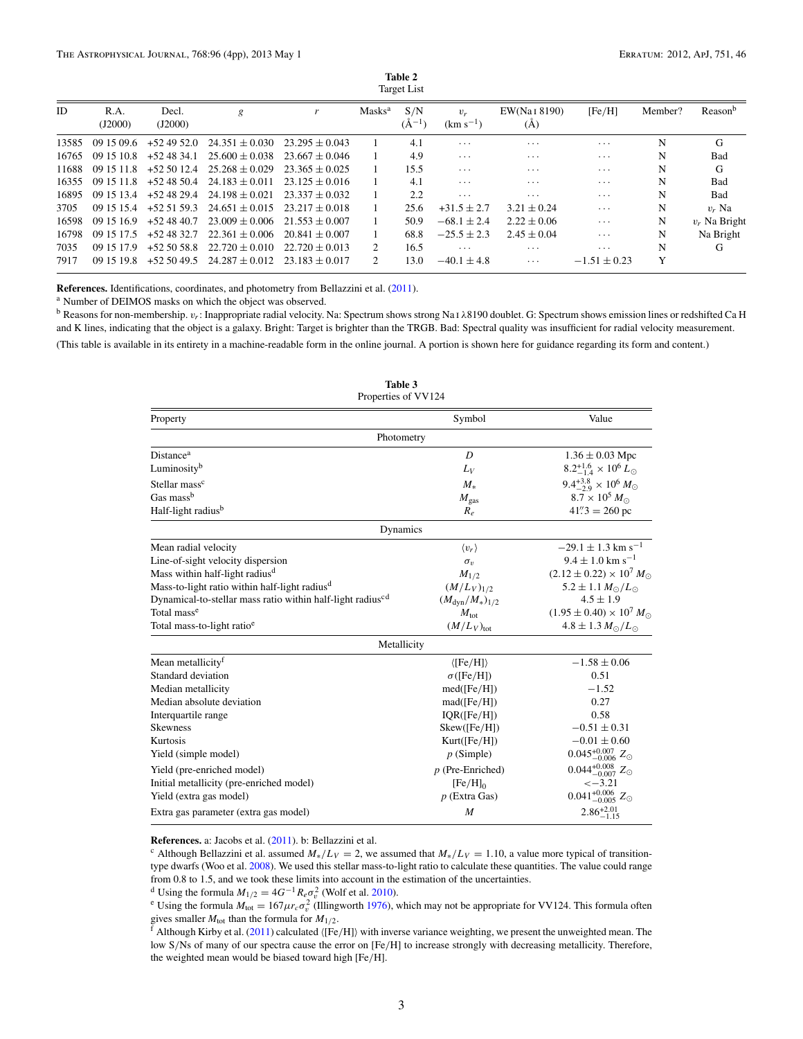| Table 2            |  |  |  |  |
|--------------------|--|--|--|--|
| <b>Target List</b> |  |  |  |  |

<span id="page-2-0"></span>

| ID    | R.A.<br>(J2000) | Decl.<br>(J2000) | g                              | r                | Masks <sup>a</sup>          | S/N<br>$(A^{-1})$ | $v_r$<br>$(km s^{-1})$ | EW(Na <sub>I</sub> 8190)<br>(A) | [Fe/H]                  | Member? | Reason <sup>b</sup> |
|-------|-----------------|------------------|--------------------------------|------------------|-----------------------------|-------------------|------------------------|---------------------------------|-------------------------|---------|---------------------|
| 13585 | 09 15 09.6      |                  | $+524952.0$ $24.351 \pm 0.030$ | $23.295 + 0.043$ |                             | 4.1               | $\cdots$               | $\cdot$                         | $\cdots$                | N       | G                   |
| 16765 | 09 15 10 8      |                  | $+524834.1$ $25.600 + 0.038$   | $23.667 + 0.046$ |                             | 4.9               | $\cdots$               | $\cdots$                        | $\cdot$                 | N       | Bad                 |
| 11688 | 09 15 11 8      | $+52.5012.4$     | $25.268 + 0.029$               | $23.365 + 0.025$ |                             | 15.5              | $\cdots$               | $\cdots$                        | $\cdots$                | N       | G                   |
| 16355 | 09 15 11.8      | $+524850.4$      | $24.183 + 0.011$               | $23.125 + 0.016$ |                             | 4.1               | $\cdots$               | $\cdots$                        | $\cdots$                | N       | <b>Bad</b>          |
| 16895 | 09 15 13 4      | $+524829.4$      | $24.198 + 0.021$               | $23.337 + 0.032$ |                             | 2.2               | $\cdots$               | $\cdot$                         | .                       | N       | <b>Bad</b>          |
| 3705  | 09 15 15 4      | $+52.51.59.3$    | $24.651 + 0.015$               | $23.217 + 0.018$ |                             | 25.6              | $+31.5 \pm 2.7$        | $3.21 \pm 0.24$                 | $\cdots$                | N       | $v_r$ Na            |
| 16598 | 09 15 16 9      | $+524840.7$      | $23.009 + 0.006$               | $21.553 + 0.007$ |                             | 50.9              | $-68.1 \pm 2.4$        | $2.22 \pm 0.06$                 | $\cdots$                | N       | $v_r$ Na Bright     |
| 16798 | 09 15 17.5      | $+524832.7$      | $22.361 + 0.006$               | $20.841 + 0.007$ |                             | 68.8              | $-25.5 + 2.3$          | $2.45 \pm 0.04$                 | $\cdots$                | N       | Na Bright           |
| 7035  | 09 15 17 9      | $+52.50.58.8$    | $22.720 \pm 0.010$             | $22.720 + 0.013$ | 2                           | 16.5              | $\cdots$               | $\cdot$                         | $\cdot$ $\cdot$ $\cdot$ | N       | G                   |
| 7917  | 09 15 19 8      | $+52.5049.5$     | $24.287 + 0.012$               | $23.183 + 0.017$ | $\mathcal{D}_{\mathcal{L}}$ | 13.0              | $-40.1 \pm 4.8$        | $\cdots$                        | $-1.51 \pm 0.23$        | Y       |                     |

**References.** Identifications, coordinates, and photometry from Bellazzini et al. [\(2011\)](#page-3-0).

<sup>a</sup> Number of DEIMOS masks on which the object was observed.

<sup>b</sup> Reasons for non-membership. *vr*: Inappropriate radial velocity. Na: Spectrum shows strong Na i *λ*8190 doublet. G: Spectrum shows emission lines or redshifted Ca H and K lines, indicating that the object is a galaxy. Bright: Target is brighter than the TRGB. Bad: Spectral quality was insufficient for radial velocity measurement. (This table is available in its entirety in a machine-readable form in the online journal. A portion is shown here for guidance regarding its form and content.)

| Property                                                               | Symbol                    | Value                                     |
|------------------------------------------------------------------------|---------------------------|-------------------------------------------|
| Photometry                                                             |                           |                                           |
| Distance <sup>a</sup>                                                  | D                         | $1.36 \pm 0.03$ Mpc                       |
| Luminosity <sup>b</sup>                                                | $L_V$                     | $8.2^{+1.6}_{-1.4} \times 10^6 L_{\odot}$ |
| Stellar mass <sup>c</sup>                                              | $M_{*}$                   | $9.4^{+3.8}_{-2.9} \times 10^6 M_{\odot}$ |
| Gas mass <sup>b</sup>                                                  | $M_{\rm gas}$             | $8.7 \times 10^5 M_{\odot}$               |
| Half-light radius <sup>b</sup>                                         | $R_e$                     | $41\overset{''}{.}3 = 260$ pc             |
| Dynamics                                                               |                           |                                           |
| Mean radial velocity                                                   | $\langle v_r \rangle$     | $-29.1 \pm 1.3$ km s <sup>-1</sup>        |
| Line-of-sight velocity dispersion                                      | $\sigma_v$                | $9.4 \pm 1.0$ km s <sup>-1</sup>          |
| Mass within half-light radius <sup>d</sup>                             | $M_{1/2}$                 | $(2.12 \pm 0.22) \times 10^7 M_{\odot}$   |
| Mass-to-light ratio within half-light radius <sup>d</sup>              | $(M/L_V)_{1/2}$           | $5.2 \pm 1.1 M_{\odot}/L_{\odot}$         |
| Dynamical-to-stellar mass ratio within half-light radius <sup>cd</sup> | $(M_{\rm dyn}/M_*)_{1/2}$ | $4.5 \pm 1.9$                             |
| Total mass <sup>e</sup>                                                | $M_{\text{tot}}$          | $(1.95 \pm 0.40) \times 10^7 M_{\odot}$   |
| Total mass-to-light ratio <sup>e</sup>                                 | $(M/L_V)_{\text{tot}}$    | $4.8 \pm 1.3 M_{\odot}/L_{\odot}$         |
| Metallicity                                                            |                           |                                           |
| Mean metallicity <sup>f</sup>                                          | $\langle [Fe/H] \rangle$  | $-1.58 \pm 0.06$                          |
| Standard deviation                                                     | $\sigma$ ([Fe/H])         | 0.51                                      |
| Median metallicity                                                     | med(Fe/H])                | $-1.52$                                   |
| Median absolute deviation                                              | mad( [Fe/H])              | 0.27                                      |
| Interquartile range                                                    | IQR([Fe/H])               | 0.58                                      |
| <b>Skewness</b>                                                        | Skew(Fe/H])               | $-0.51 \pm 0.31$                          |
| Kurtosis                                                               | Kurt(Fe/H])               | $-0.01 \pm 0.60$                          |
| Yield (simple model)                                                   | $p$ (Simple)              | $0.045_{-0.006}^{+0.007}$ Z <sub>o</sub>  |
| Yield (pre-enriched model)                                             | $p$ (Pre-Enriched)        | $0.044_{-0.007}^{+0.008}$ Z <sub>o</sub>  |
| Initial metallicity (pre-enriched model)                               | $[Fe/H]_0$                | $\le -3.21$                               |
| Yield (extra gas model)                                                | $p$ (Extra Gas)           | $0.041_{-0.005}^{+0.006}$ Z <sub>o</sub>  |
| Extra gas parameter (extra gas model)                                  | M                         | $2.86^{+2.01}_{-1.15}$                    |

**Table 3** Properties of VV124

**References.** a: Jacobs et al. [\(2011\)](#page-3-0). b: Bellazzini et al.

<sup>c</sup> Although Bellazzini et al. assumed  $M_*/L_V = 2$ , we assumed that  $M_*/L_V = 1.10$ , a value more typical of transitiontype dwarfs (Woo et al. [2008\)](#page-3-0). We used this stellar mass-to-light ratio to calculate these quantities. The value could range from 0.8 to 1.5, and we took these limits into account in the estimation of the uncertainties.

<sup>d</sup> Using the formula  $M_{1/2} = 4G^{-1} R_e \sigma_v^2$  (Wolf et al. 2010).

<sup>d</sup> Using the formula  $M_{1/2} = 4G^{-1}R_e\sigma_v^2$  (Wolf et al. [2010\)](#page-3-0).<br><sup>e</sup> Using the formula  $M_{\text{tot}} = 167\mu_r\sigma_v^2$  (Illingworth [1976\)](#page-3-0), which may not be appropriate for VV124. This formula often gives smaller  $M_{\text{tot}}$  than the formula for  $M_{1/2}$ .<br><sup>f</sup> Although Kirby et al. [\(2011\)](#page-3-0) calculated ([Fe/H]) with inverse variance weighting, we present the unweighted mean. The

low S/Ns of many of our spectra cause the error on [Fe/H] to increase strongly with decreasing metallicity. Therefore, the weighted mean would be biased toward high [Fe*/*H].